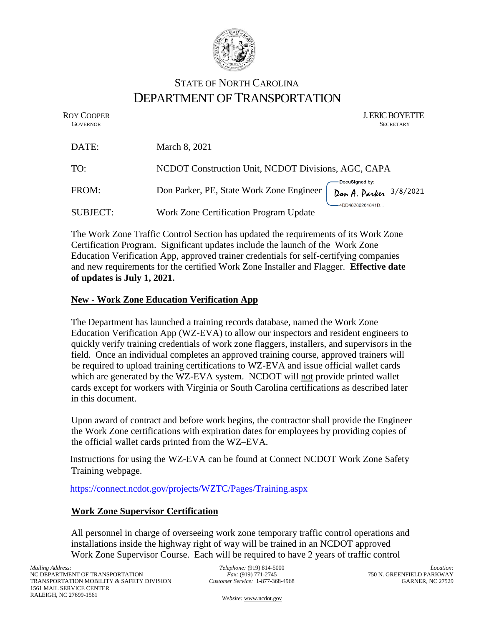

# STATE OF NORTH CAROLINA DEPARTMENT OF TRANSPORTATION

ROY COOPER J. ERIC BOYETTE **GOVERNOR** SECRETARY

| DATE:           | March 8, 2021                                       |                                          |
|-----------------|-----------------------------------------------------|------------------------------------------|
| TO:             | NCDOT Construction Unit, NCDOT Divisions, AGC, CAPA |                                          |
| FROM:           | Don Parker, PE, State Work Zone Engineer            | DocuSigned by:<br>Don A. Parker 3/8/2021 |
| <b>SUBJECT:</b> | Work Zone Certification Program Update              | 4DD48286261841D                          |

The Work Zone Traffic Control Section has updated the requirements of its Work Zone Certification Program. Significant updates include the launch of the Work Zone Education Verification App, approved trainer credentials for self-certifying companies and new requirements for the certified Work Zone Installer and Flagger. **Effective date of updates is July 1, 2021.**

## **New - Work Zone Education Verification App**

The Department has launched a training records database, named the Work Zone Education Verification App (WZ-EVA) to allow our inspectors and resident engineers to quickly verify training credentials of work zone flaggers, installers, and supervisors in the field. Once an individual completes an approved training course, approved trainers will be required to upload training certifications to WZ-EVA and issue official wallet cards which are generated by the WZ-EVA system. NCDOT will not provide printed wallet cards except for workers with Virginia or South Carolina certifications as described later in this document.

Upon award of contract and before work begins, the contractor shall provide the Engineer the Work Zone certifications with expiration dates for employees by providing copies of the official wallet cards printed from the WZ–EVA.

Instructions for using the WZ-EVA can be found at Connect NCDOT Work Zone Safety Training webpage.

<https://connect.ncdot.gov/projects/WZTC/Pages/Training.aspx>

## **Work Zone Supervisor Certification**

All personnel in charge of overseeing work zone temporary traffic control operations and installations inside the highway right of way will be trained in an NCDOT approved Work Zone Supervisor Course. Each will be required to have 2 years of traffic control

*Telephone:* (919) 814-5000 *Fax:* (919) 771-2745 *Customer Service:* 1-877-368-4968

*Location:* 750 N. GREENFIELD PARKWAY GARNER, NC 27529

*Website:* [www.ncdot.gov](http://www.ncdot.gov/)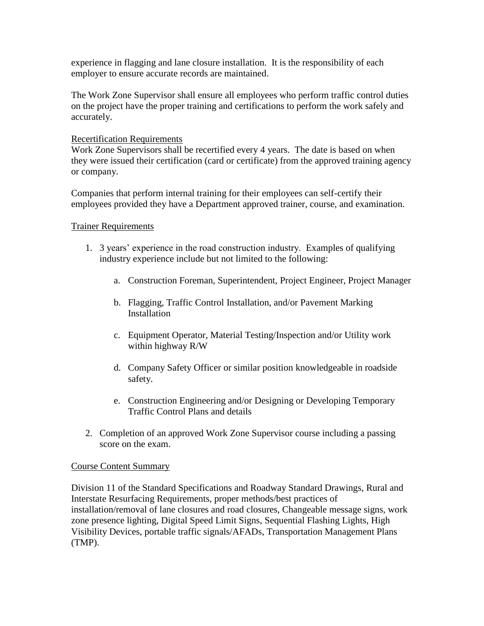experience in flagging and lane closure installation. It is the responsibility of each employer to ensure accurate records are maintained.

The Work Zone Supervisor shall ensure all employees who perform traffic control duties on the project have the proper training and certifications to perform the work safely and accurately.

## Recertification Requirements

Work Zone Supervisors shall be recertified every 4 years. The date is based on when they were issued their certification (card or certificate) from the approved training agency or company.

Companies that perform internal training for their employees can self-certify their employees provided they have a Department approved trainer, course, and examination.

## Trainer Requirements

- 1. 3 years' experience in the road construction industry. Examples of qualifying industry experience include but not limited to the following:
	- a. Construction Foreman, Superintendent, Project Engineer, Project Manager
	- b. Flagging, Traffic Control Installation, and/or Pavement Marking **Installation**
	- c. Equipment Operator, Material Testing/Inspection and/or Utility work within highway R/W
	- d. Company Safety Officer or similar position knowledgeable in roadside safety.
	- e. Construction Engineering and/or Designing or Developing Temporary Traffic Control Plans and details
- 2. Completion of an approved Work Zone Supervisor course including a passing score on the exam.

## Course Content Summary

Division 11 of the Standard Specifications and Roadway Standard Drawings, Rural and Interstate Resurfacing Requirements, proper methods/best practices of installation/removal of lane closures and road closures, Changeable message signs, work zone presence lighting, Digital Speed Limit Signs, Sequential Flashing Lights, High Visibility Devices, portable traffic signals/AFADs, Transportation Management Plans (TMP).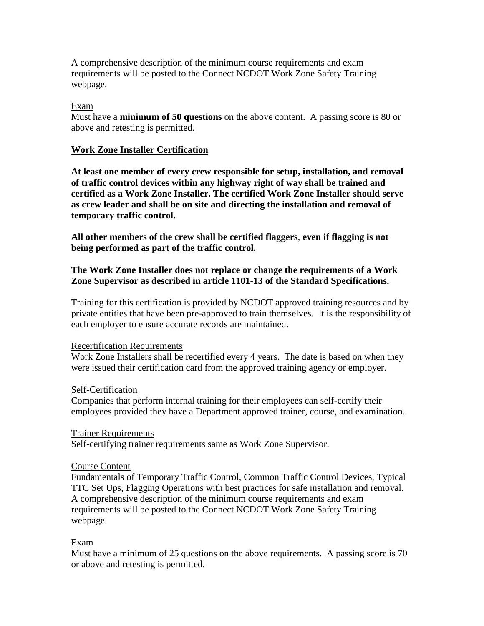A comprehensive description of the minimum course requirements and exam requirements will be posted to the Connect NCDOT Work Zone Safety Training webpage.

## Exam

Must have a **minimum of 50 questions** on the above content. A passing score is 80 or above and retesting is permitted.

### **Work Zone Installer Certification**

**At least one member of every crew responsible for setup, installation, and removal of traffic control devices within any highway right of way shall be trained and certified as a Work Zone Installer. The certified Work Zone Installer should serve as crew leader and shall be on site and directing the installation and removal of temporary traffic control.** 

**All other members of the crew shall be certified flaggers**, **even if flagging is not being performed as part of the traffic control.** 

## **The Work Zone Installer does not replace or change the requirements of a Work Zone Supervisor as described in article 1101-13 of the Standard Specifications.**

Training for this certification is provided by NCDOT approved training resources and by private entities that have been pre-approved to train themselves. It is the responsibility of each employer to ensure accurate records are maintained.

#### Recertification Requirements

Work Zone Installers shall be recertified every 4 years. The date is based on when they were issued their certification card from the approved training agency or employer.

#### Self-Certification

Companies that perform internal training for their employees can self-certify their employees provided they have a Department approved trainer, course, and examination.

#### Trainer Requirements

Self-certifying trainer requirements same as Work Zone Supervisor.

#### Course Content

Fundamentals of Temporary Traffic Control, Common Traffic Control Devices, Typical TTC Set Ups, Flagging Operations with best practices for safe installation and removal. A comprehensive description of the minimum course requirements and exam requirements will be posted to the Connect NCDOT Work Zone Safety Training webpage.

## Exam

Must have a minimum of 25 questions on the above requirements. A passing score is 70 or above and retesting is permitted.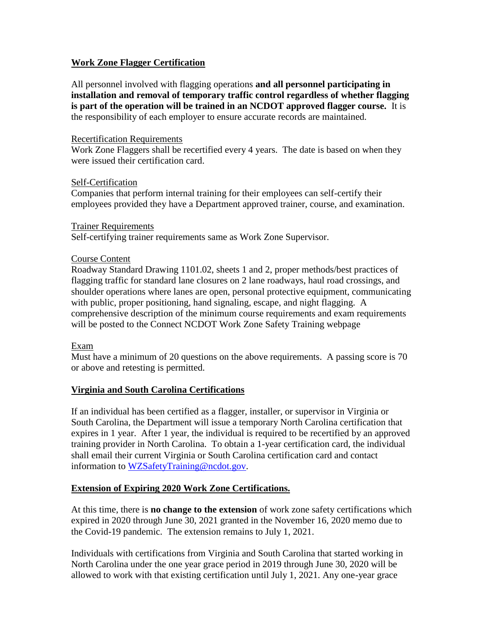## **Work Zone Flagger Certification**

All personnel involved with flagging operations **and all personnel participating in installation and removal of temporary traffic control regardless of whether flagging is part of the operation will be trained in an NCDOT approved flagger course.** It is the responsibility of each employer to ensure accurate records are maintained.

### Recertification Requirements

Work Zone Flaggers shall be recertified every 4 years. The date is based on when they were issued their certification card.

#### Self-Certification

Companies that perform internal training for their employees can self-certify their employees provided they have a Department approved trainer, course, and examination.

#### Trainer Requirements

Self-certifying trainer requirements same as Work Zone Supervisor.

## Course Content

Roadway Standard Drawing 1101.02, sheets 1 and 2, proper methods/best practices of flagging traffic for standard lane closures on 2 lane roadways, haul road crossings, and shoulder operations where lanes are open, personal protective equipment, communicating with public, proper positioning, hand signaling, escape, and night flagging. A comprehensive description of the minimum course requirements and exam requirements will be posted to the Connect NCDOT Work Zone Safety Training webpage

## Exam

Must have a minimum of 20 questions on the above requirements. A passing score is 70 or above and retesting is permitted.

## **Virginia and South Carolina Certifications**

If an individual has been certified as a flagger, installer, or supervisor in Virginia or South Carolina, the Department will issue a temporary North Carolina certification that expires in 1 year. After 1 year, the individual is required to be recertified by an approved training provider in North Carolina. To obtain a 1-year certification card, the individual shall email their current Virginia or South Carolina certification card and contact information to [WZSafetyTraining@ncdot.gov.](mailto:WZSafetyTraining@ncdot.gov)

## **Extension of Expiring 2020 Work Zone Certifications.**

At this time, there is **no change to the extension** of work zone safety certifications which expired in 2020 through June 30, 2021 granted in the November 16, 2020 memo due to the Covid-19 pandemic. The extension remains to July 1, 2021.

Individuals with certifications from Virginia and South Carolina that started working in North Carolina under the one year grace period in 2019 through June 30, 2020 will be allowed to work with that existing certification until July 1, 2021. Any one-year grace